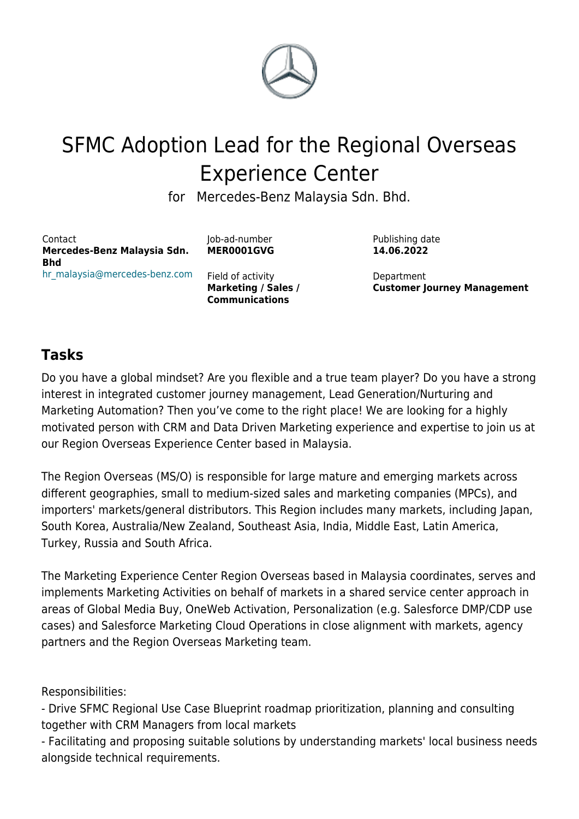

# SFMC Adoption Lead for the Regional Overseas Experience Center

for Mercedes-Benz Malaysia Sdn. Bhd.

Contact **Mercedes-Benz Malaysia Sdn. Bhd** [hr\\_malaysia@mercedes-benz.com](mailto:%0A%09%09%09%09%09%09%09hr_malaysia@mercedes-benz.com%20%20%20%20%20%20%20%20%20%20%20%20%20%20%20%20%20%20%20%20%20%20%20%20?subject=MER0001GVG%20%E2%80%93%0A%20%20%20%20%20%20%20%20%20%20%20%20%20%20%20%20%20%20%20%20%20%20%20%20%20%20%20%20%20%20%20%20%20%20%20%20%20%20%20%20SFMC%20Adoption%20Lead%20for%20the%20Regional%20Overseas%20Experience%20Center) Job-ad-number **MER0001GVG**

Field of activity **Marketing / Sales / Communications**

Publishing date **14.06.2022**

Department **Customer Journey Management**

## **Tasks**

Do you have a global mindset? Are you flexible and a true team player? Do you have a strong interest in integrated customer journey management, Lead Generation/Nurturing and Marketing Automation? Then you've come to the right place! We are looking for a highly motivated person with CRM and Data Driven Marketing experience and expertise to join us at our Region Overseas Experience Center based in Malaysia.

The Region Overseas (MS/O) is responsible for large mature and emerging markets across different geographies, small to medium-sized sales and marketing companies (MPCs), and importers' markets/general distributors. This Region includes many markets, including Japan, South Korea, Australia/New Zealand, Southeast Asia, India, Middle East, Latin America, Turkey, Russia and South Africa.

The Marketing Experience Center Region Overseas based in Malaysia coordinates, serves and implements Marketing Activities on behalf of markets in a shared service center approach in areas of Global Media Buy, OneWeb Activation, Personalization (e.g. Salesforce DMP/CDP use cases) and Salesforce Marketing Cloud Operations in close alignment with markets, agency partners and the Region Overseas Marketing team.

Responsibilities:

- Drive SFMC Regional Use Case Blueprint roadmap prioritization, planning and consulting together with CRM Managers from local markets

- Facilitating and proposing suitable solutions by understanding markets' local business needs alongside technical requirements.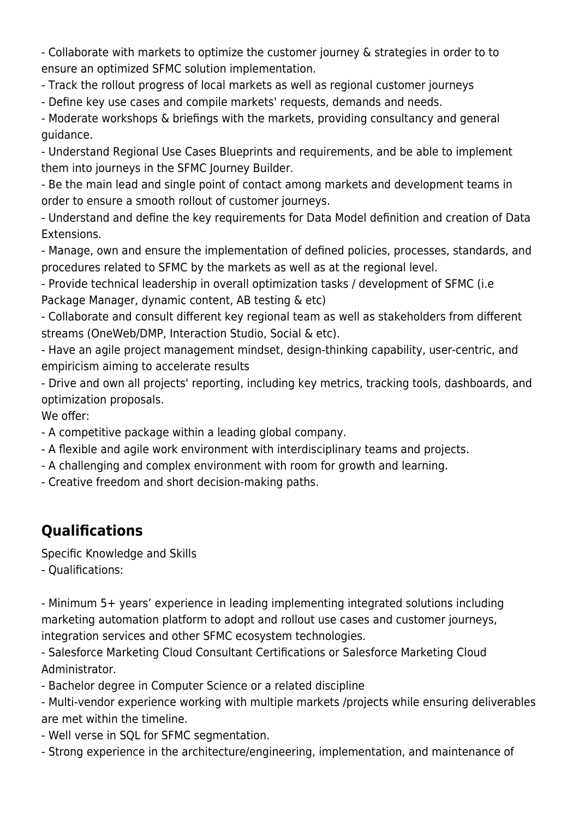- Collaborate with markets to optimize the customer journey & strategies in order to to ensure an optimized SFMC solution implementation.

- Track the rollout progress of local markets as well as regional customer journeys

- Define key use cases and compile markets' requests, demands and needs.

- Moderate workshops & briefings with the markets, providing consultancy and general guidance.

- Understand Regional Use Cases Blueprints and requirements, and be able to implement them into journeys in the SFMC Journey Builder.

- Be the main lead and single point of contact among markets and development teams in order to ensure a smooth rollout of customer journeys.

- Understand and define the key requirements for Data Model definition and creation of Data Extensions.

- Manage, own and ensure the implementation of defined policies, processes, standards, and procedures related to SFMC by the markets as well as at the regional level.

- Provide technical leadership in overall optimization tasks / development of SFMC (i.e Package Manager, dynamic content, AB testing & etc)

- Collaborate and consult different key regional team as well as stakeholders from different streams (OneWeb/DMP, Interaction Studio, Social & etc).

- Have an agile project management mindset, design-thinking capability, user-centric, and empiricism aiming to accelerate results

- Drive and own all projects' reporting, including key metrics, tracking tools, dashboards, and optimization proposals.

We offer:

- A competitive package within a leading global company.

- A flexible and agile work environment with interdisciplinary teams and projects.
- A challenging and complex environment with room for growth and learning.
- Creative freedom and short decision-making paths.

## **Qualifications**

Specific Knowledge and Skills

- Qualifications:

- Minimum 5+ years' experience in leading implementing integrated solutions including marketing automation platform to adopt and rollout use cases and customer journeys, integration services and other SFMC ecosystem technologies.

- Salesforce Marketing Cloud Consultant Certifications or Salesforce Marketing Cloud Administrator.

- Bachelor degree in Computer Science or a related discipline

- Multi-vendor experience working with multiple markets /projects while ensuring deliverables are met within the timeline.

- Well verse in SQL for SFMC segmentation.
- Strong experience in the architecture/engineering, implementation, and maintenance of